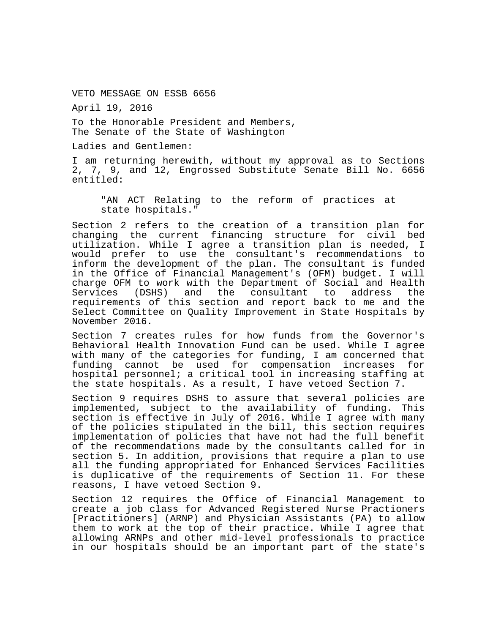VETO MESSAGE ON ESSB 6656

April 19, 2016

To the Honorable President and Members, The Senate of the State of Washington

Ladies and Gentlemen:

I am returning herewith, without my approval as to Sections 2, 7, 9, and 12, Engrossed Substitute Senate Bill No. 6656 entitled:

"AN ACT Relating to the reform of practices at state hospitals."

Section 2 refers to the creation of a transition plan for changing the current financing structure for civil bed utilization. While I agree a transition plan is needed, I would prefer to use the consultant's recommendations to inform the development of the plan. The consultant is funded in the Office of Financial Management's (OFM) budget. I will charge OFM to work with the Department of Social and Health Services (DSHS) and the consultant to address the requirements of this section and report back to me and the Select Committee on Quality Improvement in State Hospitals by November 2016.

Section 7 creates rules for how funds from the Governor's Behavioral Health Innovation Fund can be used. While I agree with many of the categories for funding, I am concerned that funding cannot be used for compensation increases for hospital personnel; a critical tool in increasing staffing at the state hospitals. As a result, I have vetoed Section 7.

Section 9 requires DSHS to assure that several policies are implemented, subject to the availability of funding. This section is effective in July of 2016. While I agree with many of the policies stipulated in the bill, this section requires implementation of policies that have not had the full benefit of the recommendations made by the consultants called for in section 5. In addition, provisions that require a plan to use all the funding appropriated for Enhanced Services Facilities is duplicative of the requirements of Section 11. For these reasons, I have vetoed Section 9.

Section 12 requires the Office of Financial Management to create a job class for Advanced Registered Nurse Practioners [Practitioners] (ARNP) and Physician Assistants (PA) to allow them to work at the top of their practice. While I agree that allowing ARNPs and other mid-level professionals to practice in our hospitals should be an important part of the state's